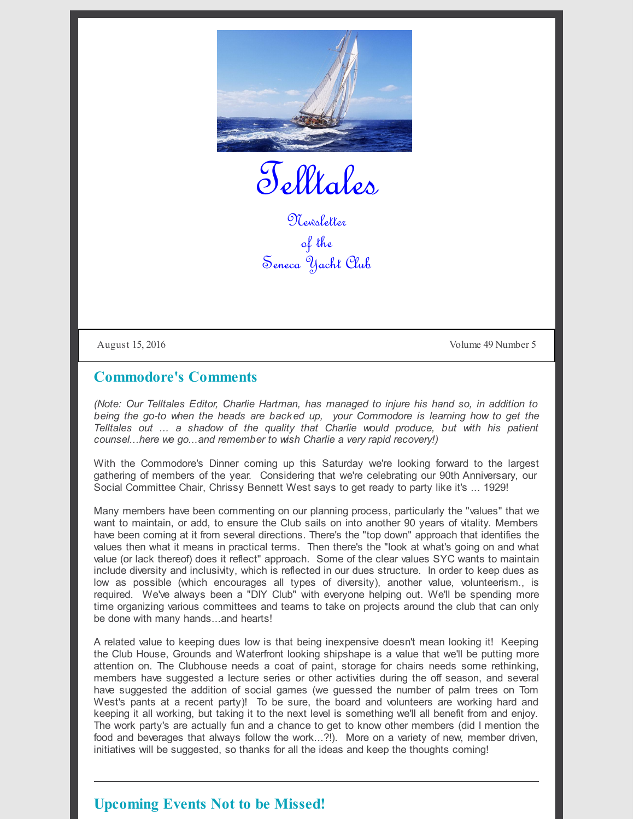

Telltales

Newsletter of the Seneca Yacht Club

August 15, 2016 Volume 49 Number 5

## **Commodore's Comments**

*(Note: Our Telltales Editor, Charlie Hartman, has managed to injure his hand so, in addition to being the go-to when the heads are backed up, your Commodore is learning how to get the Telltales out ... a shadow of the quality that Charlie would produce, but with his patient counsel...here we go...and remember to wish Charlie a very rapid recovery!)*

With the Commodore's Dinner coming up this Saturday we're looking forward to the largest gathering of members of the year. Considering that we're celebrating our 90th Anniversary, our Social Committee Chair, Chrissy Bennett West says to get ready to party like it's ... 1929!

Many members have been commenting on our planning process, particularly the "values" that we want to maintain, or add, to ensure the Club sails on into another 90 years of vitality. Members have been coming at it from several directions. There's the "top down" approach that identifies the values then what it means in practical terms. Then there's the "look at what's going on and what value (or lack thereof) does it reflect" approach. Some of the clear values SYC wants to maintain include diversity and inclusivity, which is reflected in our dues structure. In order to keep dues as low as possible (which encourages all types of diversity), another value, volunteerism., is required. We've always been a "DIY Club" with everyone helping out. We'll be spending more time organizing various committees and teams to take on projects around the club that can only be done with many hands...and hearts!

A related value to keeping dues low is that being inexpensive doesn't mean looking it! Keeping the Club House, Grounds and Waterfront looking shipshape is a value that we'll be putting more attention on. The Clubhouse needs a coat of paint, storage for chairs needs some rethinking, members have suggested a lecture series or other activities during the off season, and several have suggested the addition of social games (we guessed the number of palm trees on Tom West's pants at a recent party)! To be sure, the board and volunteers are working hard and keeping it all working, but taking it to the next level is something we'll all benefit from and enjoy. The work party's are actually fun and a chance to get to know other members (did I mention the food and beverages that always follow the work...?!). More on a variety of new, member driven, initiatives will be suggested, so thanks for all the ideas and keep the thoughts coming!

## **Upcoming Events Not to be Missed!**